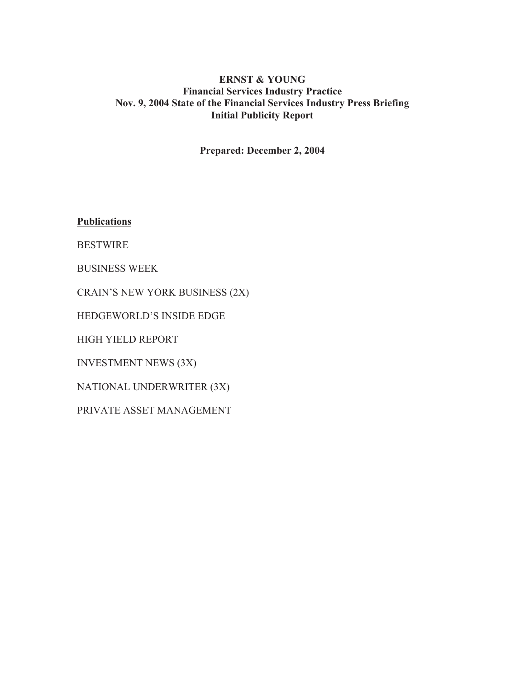#### **ERNST & YOUNG Financial Services Industry Practice Nov. 9, 2004 State of the Financial Services Industry Press Briefing Initial Publicity Report**

**Prepared: December 2, 2004**

**Publications**

BESTWIRE

BUSINESS WEEK

CRAIN'S NEW YORK BUSINESS (2X)

HEDGEWORLD'S INSIDE EDGE

HIGH YIELD REPORT

INVESTMENT NEWS (3X)

NATIONAL UNDERWRITER (3X)

PRIVATE ASSET MANAGEMENT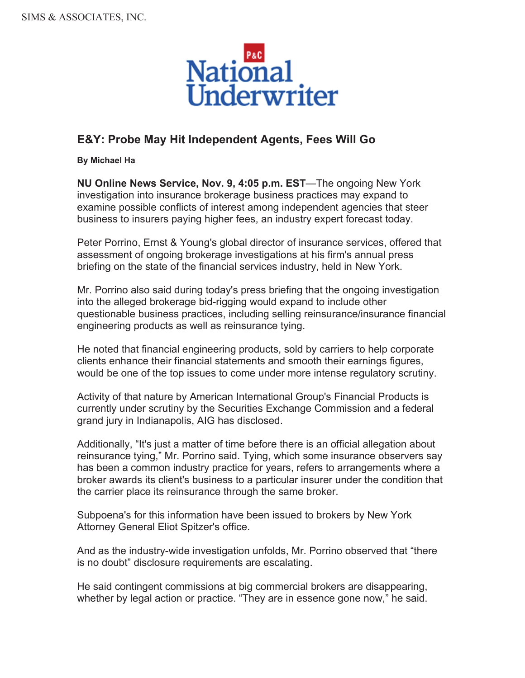

### **E&Y: Probe May Hit Independent Agents, Fees Will Go**

**By Michael Ha** 

**NU Online News Service, Nov. 9, 4:05 p.m. EST**—The ongoing New York investigation into insurance brokerage business practices may expand to examine possible conflicts of interest among independent agencies that steer business to insurers paying higher fees, an industry expert forecast today.

Peter Porrino, Ernst & Young's global director of insurance services, offered that assessment of ongoing brokerage investigations at his firm's annual press briefing on the state of the financial services industry, held in New York.

Mr. Porrino also said during today's press briefing that the ongoing investigation into the alleged brokerage bid-rigging would expand to include other questionable business practices, including selling reinsurance/insurance financial engineering products as well as reinsurance tying.

He noted that financial engineering products, sold by carriers to help corporate clients enhance their financial statements and smooth their earnings figures, would be one of the top issues to come under more intense regulatory scrutiny.

Activity of that nature by American International Group's Financial Products is currently under scrutiny by the Securities Exchange Commission and a federal grand jury in Indianapolis, AIG has disclosed.

Additionally, "It's just a matter of time before there is an official allegation about reinsurance tying," Mr. Porrino said. Tying, which some insurance observers say has been a common industry practice for years, refers to arrangements where a broker awards its client's business to a particular insurer under the condition that the carrier place its reinsurance through the same broker.

Subpoena's for this information have been issued to brokers by New York Attorney General Eliot Spitzer's office.

And as the industry-wide investigation unfolds, Mr. Porrino observed that "there is no doubt" disclosure requirements are escalating.

He said contingent commissions at big commercial brokers are disappearing, whether by legal action or practice. "They are in essence gone now," he said.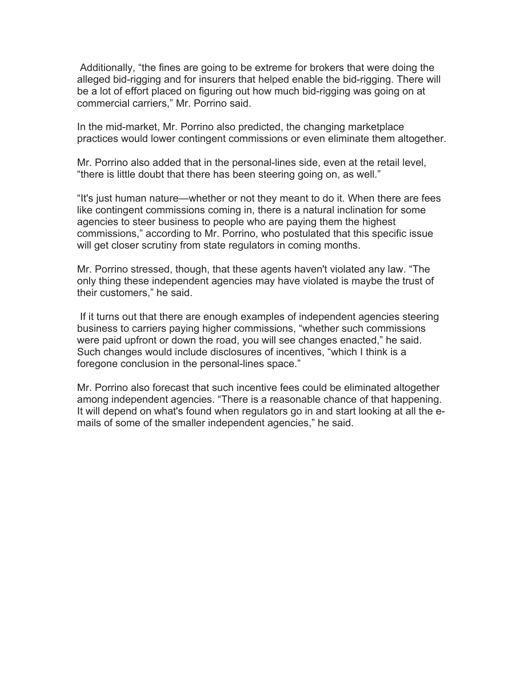Additionally, "the fines are going to be extreme for brokers that were doing the alleged bid-rigging and for insurers that helped enable the bid-rigging. There will be a lot of effort placed on figuring out how much bid-rigging was going on at commercial carriers," Mr. Porrino said.

In the mid-market, Mr. Porrino also predicted, the changing marketplace practices would lower contingent commissions or even eliminate them altogether.

Mr. Porrino also added that in the personal-lines side, even at the retail level, "there is little doubt that there has been steering going on, as well."

"It's just human nature—whether or not they meant to do it. When there are fees like contingent commissions coming in, there is a natural inclination for some agencies to steer business to people who are paying them the highest commissions," according to Mr. Porrino, who postulated that this specific issue will get closer scrutiny from state regulators in coming months.

Mr. Porrino stressed, though, that these agents haven't violated any law. "The only thing these independent agencies may have violated is maybe the trust of their customers," he said.

 If it turns out that there are enough examples of independent agencies steering business to carriers paying higher commissions, "whether such commissions were paid upfront or down the road, you will see changes enacted," he said. Such changes would include disclosures of incentives, "which I think is a foregone conclusion in the personal-lines space."

Mr. Porrino also forecast that such incentive fees could be eliminated altogether among independent agencies. "There is a reasonable chance of that happening. It will depend on what's found when regulators go in and start looking at all the emails of some of the smaller independent agencies," he said.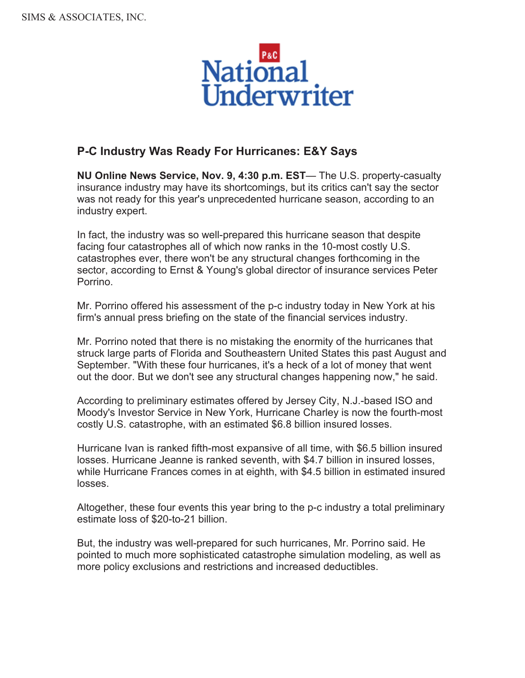

### **P-C Industry Was Ready For Hurricanes: E&Y Says**

**NU Online News Service, Nov. 9, 4:30 p.m. EST**— The U.S. property-casualty insurance industry may have its shortcomings, but its critics can't say the sector was not ready for this year's unprecedented hurricane season, according to an industry expert.

In fact, the industry was so well-prepared this hurricane season that despite facing four catastrophes all of which now ranks in the 10-most costly U.S. catastrophes ever, there won't be any structural changes forthcoming in the sector, according to Ernst & Young's global director of insurance services Peter Porrino.

Mr. Porrino offered his assessment of the p-c industry today in New York at his firm's annual press briefing on the state of the financial services industry.

Mr. Porrino noted that there is no mistaking the enormity of the hurricanes that struck large parts of Florida and Southeastern United States this past August and September. "With these four hurricanes, it's a heck of a lot of money that went out the door. But we don't see any structural changes happening now," he said.

According to preliminary estimates offered by Jersey City, N.J.-based ISO and Moody's Investor Service in New York, Hurricane Charley is now the fourth-most costly U.S. catastrophe, with an estimated \$6.8 billion insured losses.

Hurricane Ivan is ranked fifth-most expansive of all time, with \$6.5 billion insured losses. Hurricane Jeanne is ranked seventh, with \$4.7 billion in insured losses, while Hurricane Frances comes in at eighth, with \$4.5 billion in estimated insured losses.

Altogether, these four events this year bring to the p-c industry a total preliminary estimate loss of \$20-to-21 billion.

But, the industry was well-prepared for such hurricanes, Mr. Porrino said. He pointed to much more sophisticated catastrophe simulation modeling, as well as more policy exclusions and restrictions and increased deductibles.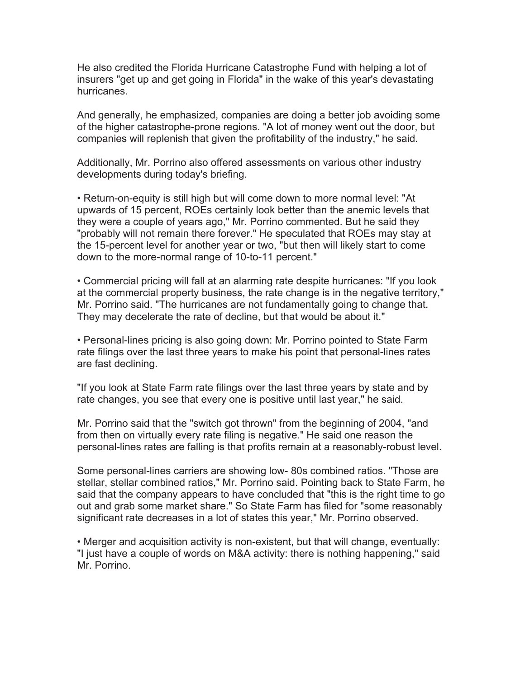He also credited the Florida Hurricane Catastrophe Fund with helping a lot of insurers "get up and get going in Florida" in the wake of this year's devastating hurricanes.

And generally, he emphasized, companies are doing a better job avoiding some of the higher catastrophe-prone regions. "A lot of money went out the door, but companies will replenish that given the profitability of the industry," he said.

Additionally, Mr. Porrino also offered assessments on various other industry developments during today's briefing.

• Return-on-equity is still high but will come down to more normal level: "At upwards of 15 percent, ROEs certainly look better than the anemic levels that they were a couple of years ago," Mr. Porrino commented. But he said they "probably will not remain there forever." He speculated that ROEs may stay at the 15-percent level for another year or two, "but then will likely start to come down to the more-normal range of 10-to-11 percent."

• Commercial pricing will fall at an alarming rate despite hurricanes: "If you look at the commercial property business, the rate change is in the negative territory," Mr. Porrino said. "The hurricanes are not fundamentally going to change that. They may decelerate the rate of decline, but that would be about it."

• Personal-lines pricing is also going down: Mr. Porrino pointed to State Farm rate filings over the last three years to make his point that personal-lines rates are fast declining.

"If you look at State Farm rate filings over the last three years by state and by rate changes, you see that every one is positive until last year," he said.

Mr. Porrino said that the "switch got thrown" from the beginning of 2004, "and from then on virtually every rate filing is negative." He said one reason the personal-lines rates are falling is that profits remain at a reasonably-robust level.

Some personal-lines carriers are showing low- 80s combined ratios. "Those are stellar, stellar combined ratios," Mr. Porrino said. Pointing back to State Farm, he said that the company appears to have concluded that "this is the right time to go out and grab some market share." So State Farm has filed for "some reasonably significant rate decreases in a lot of states this year," Mr. Porrino observed.

• Merger and acquisition activity is non-existent, but that will change, eventually: "I just have a couple of words on M&A activity: there is nothing happening," said Mr. Porrino.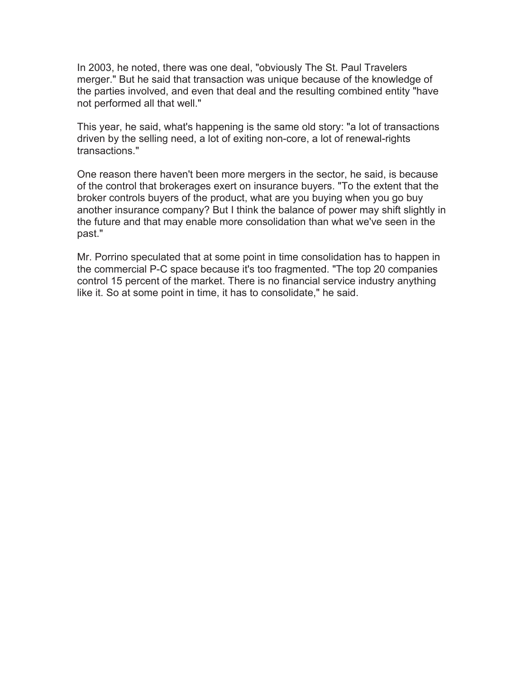In 2003, he noted, there was one deal, "obviously The St. Paul Travelers merger." But he said that transaction was unique because of the knowledge of the parties involved, and even that deal and the resulting combined entity "have not performed all that well."

This year, he said, what's happening is the same old story: "a lot of transactions driven by the selling need, a lot of exiting non-core, a lot of renewal-rights transactions."

One reason there haven't been more mergers in the sector, he said, is because of the control that brokerages exert on insurance buyers. "To the extent that the broker controls buyers of the product, what are you buying when you go buy another insurance company? But I think the balance of power may shift slightly in the future and that may enable more consolidation than what we've seen in the past."

Mr. Porrino speculated that at some point in time consolidation has to happen in the commercial P-C space because it's too fragmented. "The top 20 companies control 15 percent of the market. There is no financial service industry anything like it. So at some point in time, it has to consolidate," he said.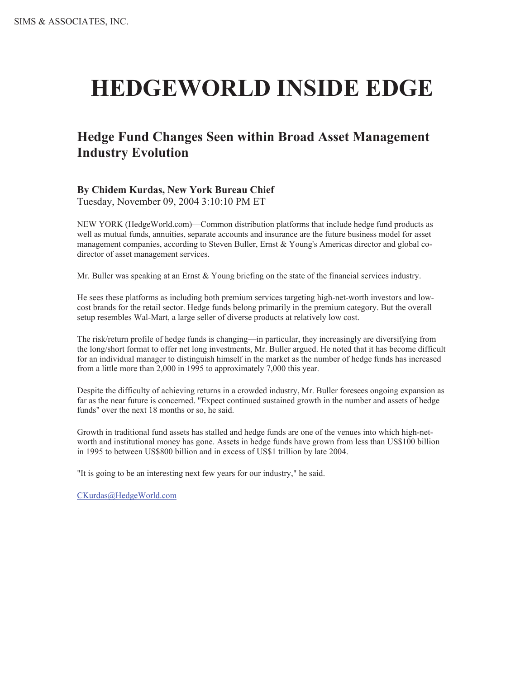# **HEDGEWORLD INSIDE EDGE**

## **Hedge Fund Changes Seen within Broad Asset Management Industry Evolution**

#### **By Chidem Kurdas, New York Bureau Chief**

Tuesday, November 09, 2004 3:10:10 PM ET

NEW YORK (HedgeWorld.com)—Common distribution platforms that include hedge fund products as well as mutual funds, annuities, separate accounts and insurance are the future business model for asset management companies, according to Steven Buller, Ernst & Young's Americas director and global codirector of asset management services.

Mr. Buller was speaking at an Ernst & Young briefing on the state of the financial services industry.

He sees these platforms as including both premium services targeting high-net-worth investors and lowcost brands for the retail sector. Hedge funds belong primarily in the premium category. But the overall setup resembles Wal-Mart, a large seller of diverse products at relatively low cost.

The risk/return profile of hedge funds is changing—in particular, they increasingly are diversifying from the long/short format to offer net long investments, Mr. Buller argued. He noted that it has become difficult for an individual manager to distinguish himself in the market as the number of hedge funds has increased from a little more than 2,000 in 1995 to approximately 7,000 this year.

Despite the difficulty of achieving returns in a crowded industry, Mr. Buller foresees ongoing expansion as far as the near future is concerned. "Expect continued sustained growth in the number and assets of hedge funds" over the next 18 months or so, he said.

Growth in traditional fund assets has stalled and hedge funds are one of the venues into which high-networth and institutional money has gone. Assets in hedge funds have grown from less than US\$100 billion in 1995 to between US\$800 billion and in excess of US\$1 trillion by late 2004.

"It is going to be an interesting next few years for our industry," he said.

CKurdas@HedgeWorld.com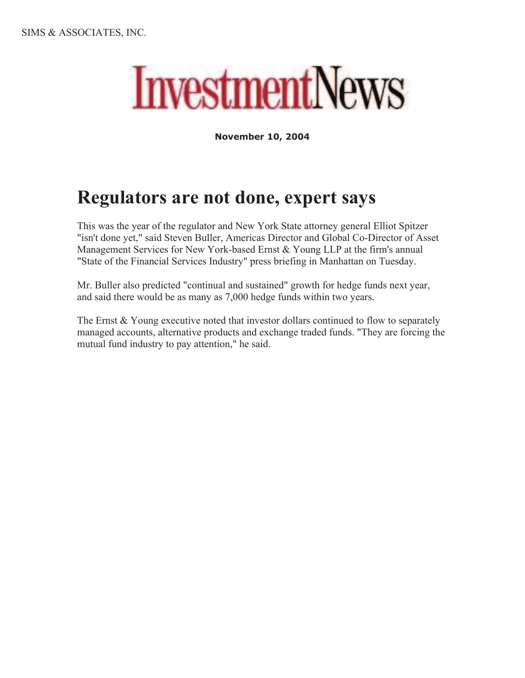SIMS & ASSOCIATES, INC.

# **InvestmentNews**

**November 10, 2004**

## **Regulators are not done, expert says**

This was the year of the regulator and New York State attorney general Elliot Spitzer "isn't done yet," said Steven Buller, Americas Director and Global Co-Director of Asset Management Services for New York-based Ernst & Young LLP at the firm's annual "State of the Financial Services Industry" press briefing in Manhattan on Tuesday.

Mr. Buller also predicted "continual and sustained" growth for hedge funds next year, and said there would be as many as 7,000 hedge funds within two years.

The Ernst & Young executive noted that investor dollars continued to flow to separately managed accounts, alternative products and exchange traded funds. "They are forcing the mutual fund industry to pay attention," he said.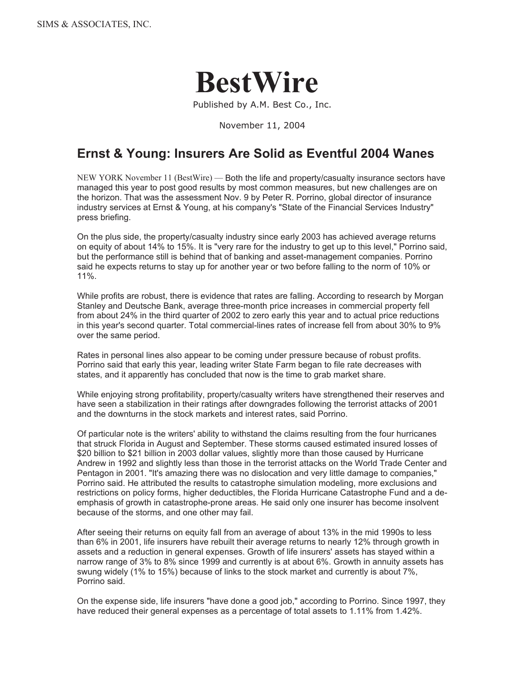

Published by A.M. Best Co., Inc.

#### November 11, 2004

## **Ernst & Young: Insurers Are Solid as Eventful 2004 Wanes**

NEW YORK November 11 (BestWire) — Both the life and property/casualty insurance sectors have managed this year to post good results by most common measures, but new challenges are on the horizon. That was the assessment Nov. 9 by Peter R. Porrino, global director of insurance industry services at Ernst & Young, at his company's "State of the Financial Services Industry" press briefing.

On the plus side, the property/casualty industry since early 2003 has achieved average returns on equity of about 14% to 15%. It is "very rare for the industry to get up to this level," Porrino said, but the performance still is behind that of banking and asset-management companies. Porrino said he expects returns to stay up for another year or two before falling to the norm of 10% or 11%.

While profits are robust, there is evidence that rates are falling. According to research by Morgan Stanley and Deutsche Bank, average three-month price increases in commercial property fell from about 24% in the third quarter of 2002 to zero early this year and to actual price reductions in this year's second quarter. Total commercial-lines rates of increase fell from about 30% to 9% over the same period.

Rates in personal lines also appear to be coming under pressure because of robust profits. Porrino said that early this year, leading writer State Farm began to file rate decreases with states, and it apparently has concluded that now is the time to grab market share.

While enjoying strong profitability, property/casualty writers have strengthened their reserves and have seen a stabilization in their ratings after downgrades following the terrorist attacks of 2001 and the downturns in the stock markets and interest rates, said Porrino.

Of particular note is the writers' ability to withstand the claims resulting from the four hurricanes that struck Florida in August and September. These storms caused estimated insured losses of \$20 billion to \$21 billion in 2003 dollar values, slightly more than those caused by Hurricane Andrew in 1992 and slightly less than those in the terrorist attacks on the World Trade Center and Pentagon in 2001. "It's amazing there was no dislocation and very little damage to companies," Porrino said. He attributed the results to catastrophe simulation modeling, more exclusions and restrictions on policy forms, higher deductibles, the Florida Hurricane Catastrophe Fund and a deemphasis of growth in catastrophe-prone areas. He said only one insurer has become insolvent because of the storms, and one other may fail.

After seeing their returns on equity fall from an average of about 13% in the mid 1990s to less than 6% in 2001, life insurers have rebuilt their average returns to nearly 12% through growth in assets and a reduction in general expenses. Growth of life insurers' assets has stayed within a narrow range of 3% to 8% since 1999 and currently is at about 6%. Growth in annuity assets has swung widely (1% to 15%) because of links to the stock market and currently is about 7%, Porrino said.

On the expense side, life insurers "have done a good job," according to Porrino. Since 1997, they have reduced their general expenses as a percentage of total assets to 1.11% from 1.42%.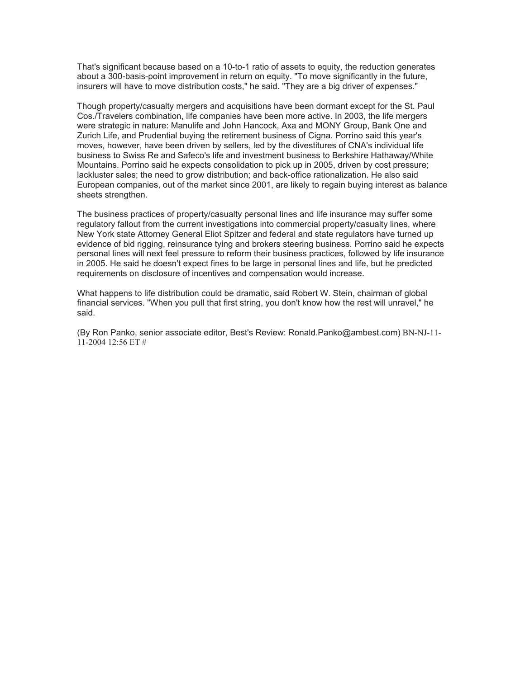That's significant because based on a 10-to-1 ratio of assets to equity, the reduction generates about a 300-basis-point improvement in return on equity. "To move significantly in the future, insurers will have to move distribution costs," he said. "They are a big driver of expenses."

Though property/casualty mergers and acquisitions have been dormant except for the St. Paul Cos./Travelers combination, life companies have been more active. In 2003, the life mergers were strategic in nature: Manulife and John Hancock, Axa and MONY Group, Bank One and Zurich Life, and Prudential buying the retirement business of Cigna. Porrino said this year's moves, however, have been driven by sellers, led by the divestitures of CNA's individual life business to Swiss Re and Safeco's life and investment business to Berkshire Hathaway/White Mountains. Porrino said he expects consolidation to pick up in 2005, driven by cost pressure; lackluster sales; the need to grow distribution; and back-office rationalization. He also said European companies, out of the market since 2001, are likely to regain buying interest as balance sheets strengthen.

The business practices of property/casualty personal lines and life insurance may suffer some regulatory fallout from the current investigations into commercial property/casualty lines, where New York state Attorney General Eliot Spitzer and federal and state regulators have turned up evidence of bid rigging, reinsurance tying and brokers steering business. Porrino said he expects personal lines will next feel pressure to reform their business practices, followed by life insurance in 2005. He said he doesn't expect fines to be large in personal lines and life, but he predicted requirements on disclosure of incentives and compensation would increase.

What happens to life distribution could be dramatic, said Robert W. Stein, chairman of global financial services. "When you pull that first string, you don't know how the rest will unravel," he said.

(By Ron Panko, senior associate editor, Best's Review: Ronald.Panko@ambest.com) BN-NJ-11- 11-2004 12:56 ET #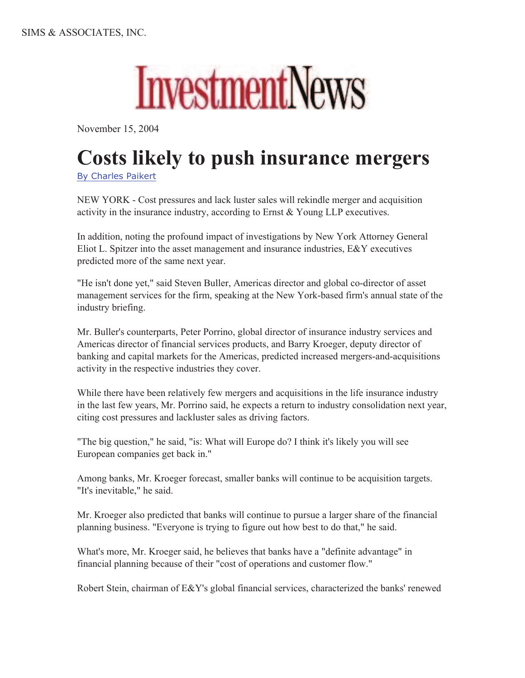

November 15, 2004

# **Costs likely to push insurance mergers**

By Charles Paikert

NEW YORK - Cost pressures and lack luster sales will rekindle merger and acquisition activity in the insurance industry, according to Ernst & Young LLP executives.

In addition, noting the profound impact of investigations by New York Attorney General Eliot L. Spitzer into the asset management and insurance industries, E&Y executives predicted more of the same next year.

"He isn't done yet," said Steven Buller, Americas director and global co-director of asset management services for the firm, speaking at the New York-based firm's annual state of the industry briefing.

Mr. Buller's counterparts, Peter Porrino, global director of insurance industry services and Americas director of financial services products, and Barry Kroeger, deputy director of banking and capital markets for the Americas, predicted increased mergers-and-acquisitions activity in the respective industries they cover.

While there have been relatively few mergers and acquisitions in the life insurance industry in the last few years, Mr. Porrino said, he expects a return to industry consolidation next year, citing cost pressures and lackluster sales as driving factors.

"The big question," he said, "is: What will Europe do? I think it's likely you will see European companies get back in."

Among banks, Mr. Kroeger forecast, smaller banks will continue to be acquisition targets. "It's inevitable," he said.

Mr. Kroeger also predicted that banks will continue to pursue a larger share of the financial planning business. "Everyone is trying to figure out how best to do that," he said.

What's more, Mr. Kroeger said, he believes that banks have a "definite advantage" in financial planning because of their "cost of operations and customer flow."

Robert Stein, chairman of E&Y's global financial services, characterized the banks' renewed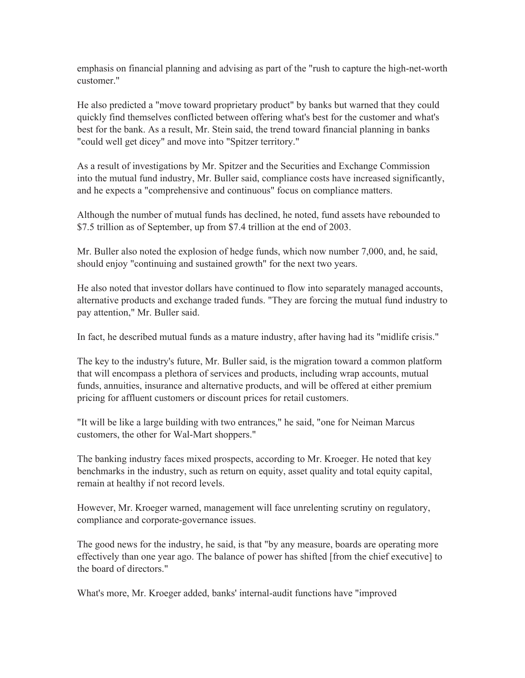emphasis on financial planning and advising as part of the "rush to capture the high-net-worth customer."

He also predicted a "move toward proprietary product" by banks but warned that they could quickly find themselves conflicted between offering what's best for the customer and what's best for the bank. As a result, Mr. Stein said, the trend toward financial planning in banks "could well get dicey" and move into "Spitzer territory."

As a result of investigations by Mr. Spitzer and the Securities and Exchange Commission into the mutual fund industry, Mr. Buller said, compliance costs have increased significantly, and he expects a "comprehensive and continuous" focus on compliance matters.

Although the number of mutual funds has declined, he noted, fund assets have rebounded to \$7.5 trillion as of September, up from \$7.4 trillion at the end of 2003.

Mr. Buller also noted the explosion of hedge funds, which now number 7,000, and, he said, should enjoy "continuing and sustained growth" for the next two years.

He also noted that investor dollars have continued to flow into separately managed accounts, alternative products and exchange traded funds. "They are forcing the mutual fund industry to pay attention," Mr. Buller said.

In fact, he described mutual funds as a mature industry, after having had its "midlife crisis."

The key to the industry's future, Mr. Buller said, is the migration toward a common platform that will encompass a plethora of services and products, including wrap accounts, mutual funds, annuities, insurance and alternative products, and will be offered at either premium pricing for affluent customers or discount prices for retail customers.

"It will be like a large building with two entrances," he said, "one for Neiman Marcus customers, the other for Wal-Mart shoppers."

The banking industry faces mixed prospects, according to Mr. Kroeger. He noted that key benchmarks in the industry, such as return on equity, asset quality and total equity capital, remain at healthy if not record levels.

However, Mr. Kroeger warned, management will face unrelenting scrutiny on regulatory, compliance and corporate-governance issues.

The good news for the industry, he said, is that "by any measure, boards are operating more effectively than one year ago. The balance of power has shifted [from the chief executive] to the board of directors."

What's more, Mr. Kroeger added, banks' internal-audit functions have "improved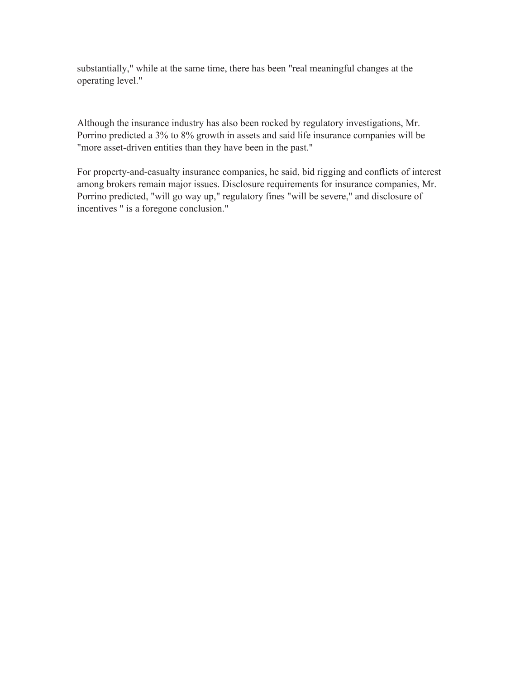substantially," while at the same time, there has been "real meaningful changes at the operating level."

Although the insurance industry has also been rocked by regulatory investigations, Mr. Porrino predicted a 3% to 8% growth in assets and said life insurance companies will be "more asset-driven entities than they have been in the past."

For property-and-casualty insurance companies, he said, bid rigging and conflicts of interest among brokers remain major issues. Disclosure requirements for insurance companies, Mr. Porrino predicted, "will go way up," regulatory fines "will be severe," and disclosure of incentives " is a foregone conclusion."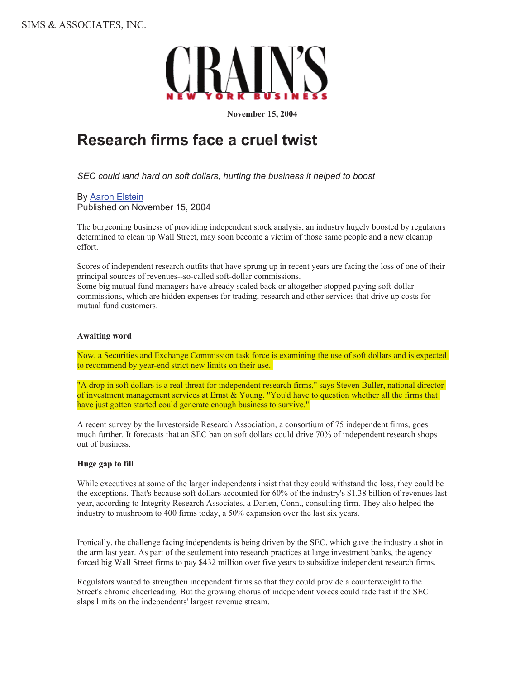

**November 15, 2004**

## **Research firms face a cruel twist**

*SEC could land hard on soft dollars, hurting the business it helped to boost*

#### By Aaron Elstein

Published on November 15, 2004

The burgeoning business of providing independent stock analysis, an industry hugely boosted by regulators determined to clean up Wall Street, may soon become a victim of those same people and a new cleanup effort.

Scores of independent research outfits that have sprung up in recent years are facing the loss of one of their principal sources of revenues--so-called soft-dollar commissions. Some big mutual fund managers have already scaled back or altogether stopped paying soft-dollar commissions, which are hidden expenses for trading, research and other services that drive up costs for mutual fund customers.

#### **Awaiting word**

Now, a Securities and Exchange Commission task force is examining the use of soft dollars and is expected to recommend by year-end strict new limits on their use.

"A drop in soft dollars is a real threat for independent research firms," says Steven Buller, national director of investment management services at Ernst & Young. "You'd have to question whether all the firms that have just gotten started could generate enough business to survive."

A recent survey by the Investorside Research Association, a consortium of 75 independent firms, goes much further. It forecasts that an SEC ban on soft dollars could drive 70% of independent research shops out of business.

#### **Huge gap to fill**

While executives at some of the larger independents insist that they could withstand the loss, they could be the exceptions. That's because soft dollars accounted for 60% of the industry's \$1.38 billion of revenues last year, according to Integrity Research Associates, a Darien, Conn., consulting firm. They also helped the industry to mushroom to 400 firms today, a 50% expansion over the last six years.

Ironically, the challenge facing independents is being driven by the SEC, which gave the industry a shot in the arm last year. As part of the settlement into research practices at large investment banks, the agency forced big Wall Street firms to pay \$432 million over five years to subsidize independent research firms.

Regulators wanted to strengthen independent firms so that they could provide a counterweight to the Street's chronic cheerleading. But the growing chorus of independent voices could fade fast if the SEC slaps limits on the independents' largest revenue stream.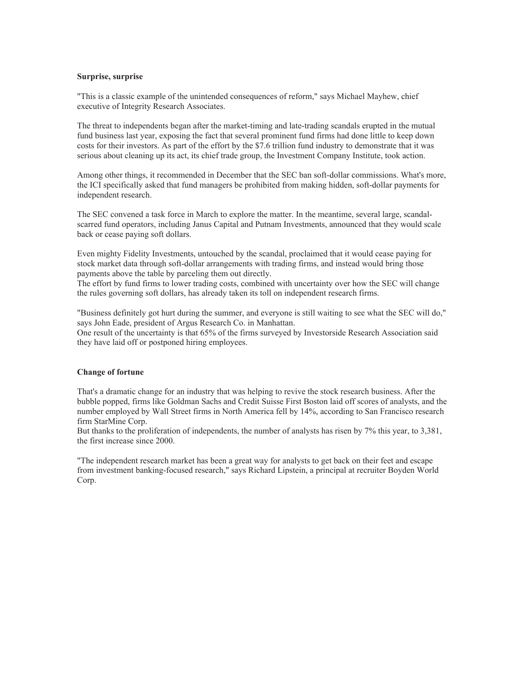#### **Surprise, surprise**

"This is a classic example of the unintended consequences of reform," says Michael Mayhew, chief executive of Integrity Research Associates.

The threat to independents began after the market-timing and late-trading scandals erupted in the mutual fund business last year, exposing the fact that several prominent fund firms had done little to keep down costs for their investors. As part of the effort by the \$7.6 trillion fund industry to demonstrate that it was serious about cleaning up its act, its chief trade group, the Investment Company Institute, took action.

Among other things, it recommended in December that the SEC ban soft-dollar commissions. What's more, the ICI specifically asked that fund managers be prohibited from making hidden, soft-dollar payments for independent research.

The SEC convened a task force in March to explore the matter. In the meantime, several large, scandalscarred fund operators, including Janus Capital and Putnam Investments, announced that they would scale back or cease paying soft dollars.

Even mighty Fidelity Investments, untouched by the scandal, proclaimed that it would cease paying for stock market data through soft-dollar arrangements with trading firms, and instead would bring those payments above the table by parceling them out directly.

The effort by fund firms to lower trading costs, combined with uncertainty over how the SEC will change the rules governing soft dollars, has already taken its toll on independent research firms.

"Business definitely got hurt during the summer, and everyone is still waiting to see what the SEC will do," says John Eade, president of Argus Research Co. in Manhattan. One result of the uncertainty is that 65% of the firms surveyed by Investorside Research Association said

they have laid off or postponed hiring employees.

#### **Change of fortune**

That's a dramatic change for an industry that was helping to revive the stock research business. After the bubble popped, firms like Goldman Sachs and Credit Suisse First Boston laid off scores of analysts, and the number employed by Wall Street firms in North America fell by 14%, according to San Francisco research firm StarMine Corp.

But thanks to the proliferation of independents, the number of analysts has risen by 7% this year, to 3,381, the first increase since 2000.

"The independent research market has been a great way for analysts to get back on their feet and escape from investment banking-focused research," says Richard Lipstein, a principal at recruiter Boyden World Corp.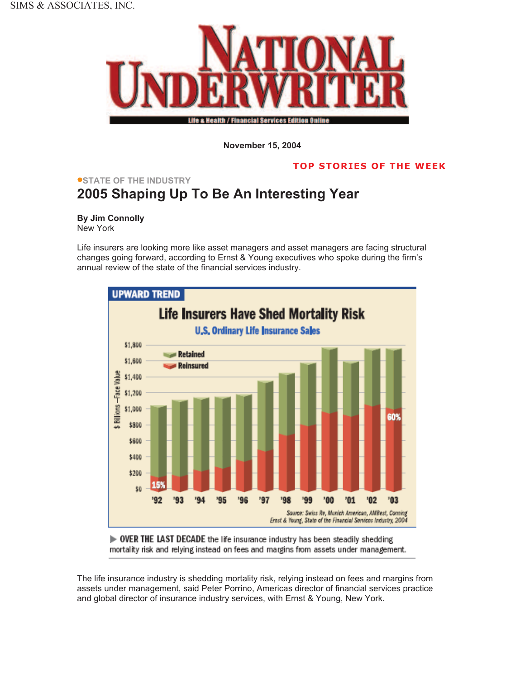

**November 15, 2004**

#### **TOP STORIES OF THE WEEK**

#### ·**STATE OF THE INDUSTRY 2005 Shaping Up To Be An Interesting Year**

**By Jim Connolly** New York

Life insurers are looking more like asset managers and asset managers are facing structural changes going forward, according to Ernst & Young executives who spoke during the firm's annual review of the state of the financial services industry.



> OVER THE LAST DECADE the life insurance industry has been steadily shedding mortality risk and relying instead on fees and margins from assets under management.

The life insurance industry is shedding mortality risk, relying instead on fees and margins from assets under management, said Peter Porrino, Americas director of financial services practice and global director of insurance industry services, with Ernst & Young, New York.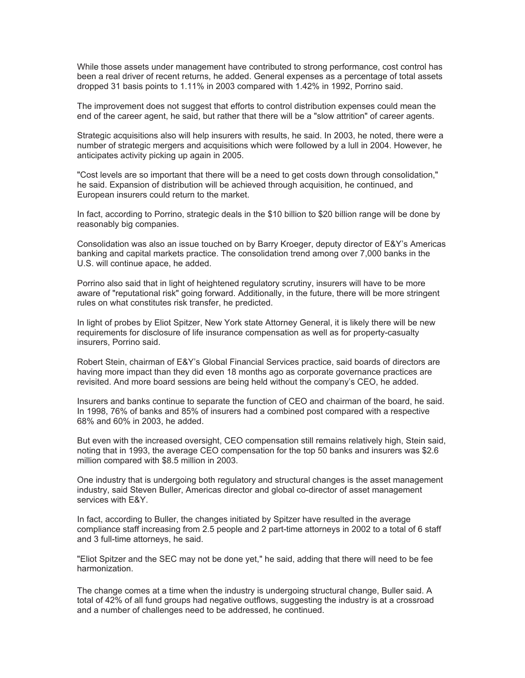While those assets under management have contributed to strong performance, cost control has been a real driver of recent returns, he added. General expenses as a percentage of total assets dropped 31 basis points to 1.11% in 2003 compared with 1.42% in 1992, Porrino said.

The improvement does not suggest that efforts to control distribution expenses could mean the end of the career agent, he said, but rather that there will be a "slow attrition" of career agents.

Strategic acquisitions also will help insurers with results, he said. In 2003, he noted, there were a number of strategic mergers and acquisitions which were followed by a lull in 2004. However, he anticipates activity picking up again in 2005.

"Cost levels are so important that there will be a need to get costs down through consolidation," he said. Expansion of distribution will be achieved through acquisition, he continued, and European insurers could return to the market.

In fact, according to Porrino, strategic deals in the \$10 billion to \$20 billion range will be done by reasonably big companies.

Consolidation was also an issue touched on by Barry Kroeger, deputy director of E&Y's Americas banking and capital markets practice. The consolidation trend among over 7,000 banks in the U.S. will continue apace, he added.

Porrino also said that in light of heightened regulatory scrutiny, insurers will have to be more aware of "reputational risk" going forward. Additionally, in the future, there will be more stringent rules on what constitutes risk transfer, he predicted.

In light of probes by Eliot Spitzer, New York state Attorney General, it is likely there will be new requirements for disclosure of life insurance compensation as well as for property-casualty insurers, Porrino said.

Robert Stein, chairman of E&Y's Global Financial Services practice, said boards of directors are having more impact than they did even 18 months ago as corporate governance practices are revisited. And more board sessions are being held without the company's CEO, he added.

Insurers and banks continue to separate the function of CEO and chairman of the board, he said. In 1998, 76% of banks and 85% of insurers had a combined post compared with a respective 68% and 60% in 2003, he added.

But even with the increased oversight, CEO compensation still remains relatively high, Stein said, noting that in 1993, the average CEO compensation for the top 50 banks and insurers was \$2.6 million compared with \$8.5 million in 2003.

One industry that is undergoing both regulatory and structural changes is the asset management industry, said Steven Buller, Americas director and global co-director of asset management services with E&Y.

In fact, according to Buller, the changes initiated by Spitzer have resulted in the average compliance staff increasing from 2.5 people and 2 part-time attorneys in 2002 to a total of 6 staff and 3 full-time attorneys, he said.

"Eliot Spitzer and the SEC may not be done yet," he said, adding that there will need to be fee harmonization.

The change comes at a time when the industry is undergoing structural change, Buller said. A total of 42% of all fund groups had negative outflows, suggesting the industry is at a crossroad and a number of challenges need to be addressed, he continued.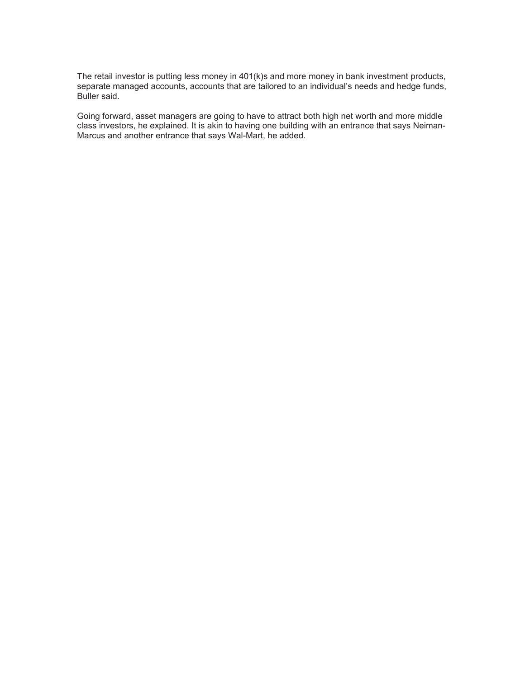The retail investor is putting less money in 401(k)s and more money in bank investment products, separate managed accounts, accounts that are tailored to an individual's needs and hedge funds, Buller said.

Going forward, asset managers are going to have to attract both high net worth and more middle class investors, he explained. It is akin to having one building with an entrance that says Neiman-Marcus and another entrance that says Wal-Mart, he added.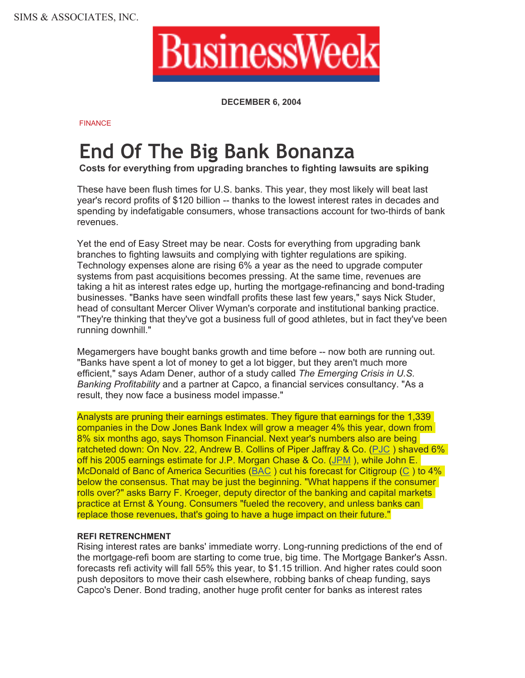

**DECEMBER 6, 2004**

FINANCE

# **End Of The Big Bank Bonanza**

**Costs for everything from upgrading branches to fighting lawsuits are spiking**

These have been flush times for U.S. banks. This year, they most likely will beat last year's record profits of \$120 billion -- thanks to the lowest interest rates in decades and spending by indefatigable consumers, whose transactions account for two-thirds of bank revenues.

Yet the end of Easy Street may be near. Costs for everything from upgrading bank branches to fighting lawsuits and complying with tighter regulations are spiking. Technology expenses alone are rising 6% a year as the need to upgrade computer systems from past acquisitions becomes pressing. At the same time, revenues are taking a hit as interest rates edge up, hurting the mortgage-refinancing and bond-trading businesses. "Banks have seen windfall profits these last few years," says Nick Studer, head of consultant Mercer Oliver Wyman's corporate and institutional banking practice. "They're thinking that they've got a business full of good athletes, but in fact they've been running downhill."

Megamergers have bought banks growth and time before -- now both are running out. "Banks have spent a lot of money to get a lot bigger, but they aren't much more efficient," says Adam Dener, author of a study called *The Emerging Crisis in U.S. Banking Profitability* and a partner at Capco, a financial services consultancy. "As a result, they now face a business model impasse."

Analysts are pruning their earnings estimates. They figure that earnings for the 1,339 companies in the Dow Jones Bank Index will grow a meager 4% this year, down from 8% six months ago, says Thomson Financial. Next year's numbers also are being ratcheted down: On Nov. 22, Andrew B. Collins of Piper Jaffray & Co. (PJC ) shaved 6% off his 2005 earnings estimate for J.P. Morgan Chase & Co. (JPM ), while John E. McDonald of Banc of America Securities (BAC) cut his forecast for Citigroup (C) to 4% below the consensus. That may be just the beginning. "What happens if the consumer rolls over?" asks Barry F. Kroeger, deputy director of the banking and capital markets practice at Ernst & Young. Consumers "fueled the recovery, and unless banks can replace those revenues, that's going to have a huge impact on their future."

#### **REFI RETRENCHMENT**

Rising interest rates are banks' immediate worry. Long-running predictions of the end of the mortgage-refi boom are starting to come true, big time. The Mortgage Banker's Assn. forecasts refi activity will fall 55% this year, to \$1.15 trillion. And higher rates could soon push depositors to move their cash elsewhere, robbing banks of cheap funding, says Capco's Dener. Bond trading, another huge profit center for banks as interest rates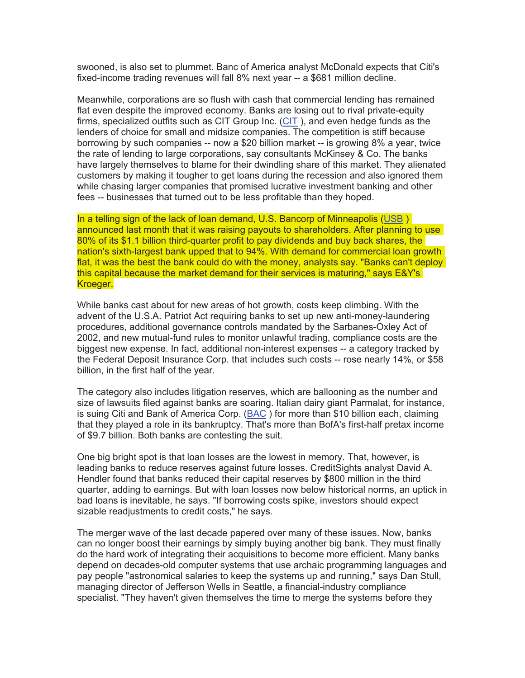swooned, is also set to plummet. Banc of America analyst McDonald expects that Citi's fixed-income trading revenues will fall 8% next year -- a \$681 million decline.

Meanwhile, corporations are so flush with cash that commercial lending has remained flat even despite the improved economy. Banks are losing out to rival private-equity firms, specialized outfits such as CIT Group Inc. (CIT ), and even hedge funds as the lenders of choice for small and midsize companies. The competition is stiff because borrowing by such companies -- now a \$20 billion market -- is growing 8% a year, twice the rate of lending to large corporations, say consultants McKinsey & Co. The banks have largely themselves to blame for their dwindling share of this market. They alienated customers by making it tougher to get loans during the recession and also ignored them while chasing larger companies that promised lucrative investment banking and other fees -- businesses that turned out to be less profitable than they hoped.

In a telling sign of the lack of loan demand, U.S. Bancorp of Minneapolis (USB ) announced last month that it was raising payouts to shareholders. After planning to use 80% of its \$1.1 billion third-quarter profit to pay dividends and buy back shares, the nation's sixth-largest bank upped that to 94%. With demand for commercial loan growth flat, it was the best the bank could do with the money, analysts say. "Banks can't deploy this capital because the market demand for their services is maturing," says E&Y's Kroeger.

While banks cast about for new areas of hot growth, costs keep climbing. With the advent of the U.S.A. Patriot Act requiring banks to set up new anti-money-laundering procedures, additional governance controls mandated by the Sarbanes-Oxley Act of 2002, and new mutual-fund rules to monitor unlawful trading, compliance costs are the biggest new expense. In fact, additional non-interest expenses -- a category tracked by the Federal Deposit Insurance Corp. that includes such costs -- rose nearly 14%, or \$58 billion, in the first half of the year.

The category also includes litigation reserves, which are ballooning as the number and size of lawsuits filed against banks are soaring. Italian dairy giant Parmalat, for instance, is suing Citi and Bank of America Corp.  $(BAC)$  for more than \$10 billion each, claiming that they played a role in its bankruptcy. That's more than BofA's first-half pretax income of \$9.7 billion. Both banks are contesting the suit.

One big bright spot is that loan losses are the lowest in memory. That, however, is leading banks to reduce reserves against future losses. CreditSights analyst David A. Hendler found that banks reduced their capital reserves by \$800 million in the third quarter, adding to earnings. But with loan losses now below historical norms, an uptick in bad loans is inevitable, he says. "If borrowing costs spike, investors should expect sizable readjustments to credit costs," he says.

The merger wave of the last decade papered over many of these issues. Now, banks can no longer boost their earnings by simply buying another big bank. They must finally do the hard work of integrating their acquisitions to become more efficient. Many banks depend on decades-old computer systems that use archaic programming languages and pay people "astronomical salaries to keep the systems up and running," says Dan Stull, managing director of Jefferson Wells in Seattle, a financial-industry compliance specialist. "They haven't given themselves the time to merge the systems before they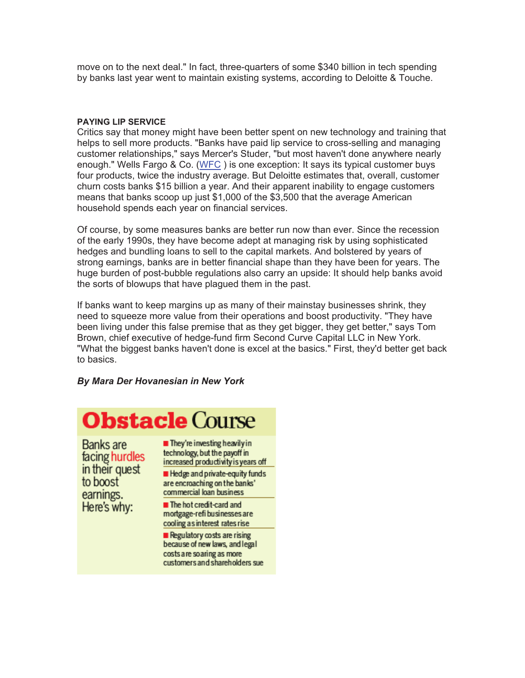move on to the next deal." In fact, three-quarters of some \$340 billion in tech spending by banks last year went to maintain existing systems, according to Deloitte & Touche.

#### **PAYING LIP SERVICE**

Critics say that money might have been better spent on new technology and training that helps to sell more products. "Banks have paid lip service to cross-selling and managing customer relationships," says Mercer's Studer, "but most haven't done anywhere nearly enough." Wells Fargo & Co. (WFC) is one exception: It says its typical customer buys four products, twice the industry average. But Deloitte estimates that, overall, customer churn costs banks \$15 billion a year. And their apparent inability to engage customers means that banks scoop up just \$1,000 of the \$3,500 that the average American household spends each year on financial services.

Of course, by some measures banks are better run now than ever. Since the recession of the early 1990s, they have become adept at managing risk by using sophisticated hedges and bundling loans to sell to the capital markets. And bolstered by years of strong earnings, banks are in better financial shape than they have been for years. The huge burden of post-bubble regulations also carry an upside: It should help banks avoid the sorts of blowups that have plagued them in the past.

If banks want to keep margins up as many of their mainstay businesses shrink, they need to squeeze more value from their operations and boost productivity. "They have been living under this false premise that as they get bigger, they get better," says Tom Brown, chief executive of hedge-fund firm Second Curve Capital LLC in New York. "What the biggest banks haven't done is excel at the basics." First, they'd better get back to basics.

#### *By Mara Der Hovanesian in New York*

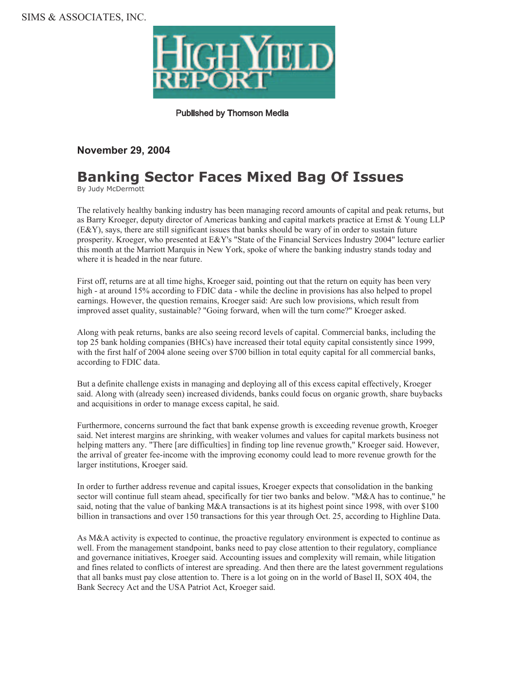

Published by Thomson Media

**November 29, 2004**

## **Banking Sector Faces Mixed Bag Of Issues**

By Judy McDermott

The relatively healthy banking industry has been managing record amounts of capital and peak returns, but as Barry Kroeger, deputy director of Americas banking and capital markets practice at Ernst & Young LLP (E&Y), says, there are still significant issues that banks should be wary of in order to sustain future prosperity. Kroeger, who presented at E&Y's "State of the Financial Services Industry 2004" lecture earlier this month at the Marriott Marquis in New York, spoke of where the banking industry stands today and where it is headed in the near future.

First off, returns are at all time highs, Kroeger said, pointing out that the return on equity has been very high - at around 15% according to FDIC data - while the decline in provisions has also helped to propel earnings. However, the question remains, Kroeger said: Are such low provisions, which result from improved asset quality, sustainable? "Going forward, when will the turn come?" Kroeger asked.

Along with peak returns, banks are also seeing record levels of capital. Commercial banks, including the top 25 bank holding companies (BHCs) have increased their total equity capital consistently since 1999, with the first half of 2004 alone seeing over \$700 billion in total equity capital for all commercial banks, according to FDIC data.

But a definite challenge exists in managing and deploying all of this excess capital effectively, Kroeger said. Along with (already seen) increased dividends, banks could focus on organic growth, share buybacks and acquisitions in order to manage excess capital, he said.

Furthermore, concerns surround the fact that bank expense growth is exceeding revenue growth, Kroeger said. Net interest margins are shrinking, with weaker volumes and values for capital markets business not helping matters any. "There [are difficulties] in finding top line revenue growth," Kroeger said. However, the arrival of greater fee-income with the improving economy could lead to more revenue growth for the larger institutions, Kroeger said.

In order to further address revenue and capital issues, Kroeger expects that consolidation in the banking sector will continue full steam ahead, specifically for tier two banks and below. "M&A has to continue," he said, noting that the value of banking M&A transactions is at its highest point since 1998, with over \$100 billion in transactions and over 150 transactions for this year through Oct. 25, according to Highline Data.

As M&A activity is expected to continue, the proactive regulatory environment is expected to continue as well. From the management standpoint, banks need to pay close attention to their regulatory, compliance and governance initiatives, Kroeger said. Accounting issues and complexity will remain, while litigation and fines related to conflicts of interest are spreading. And then there are the latest government regulations that all banks must pay close attention to. There is a lot going on in the world of Basel II, SOX 404, the Bank Secrecy Act and the USA Patriot Act, Kroeger said.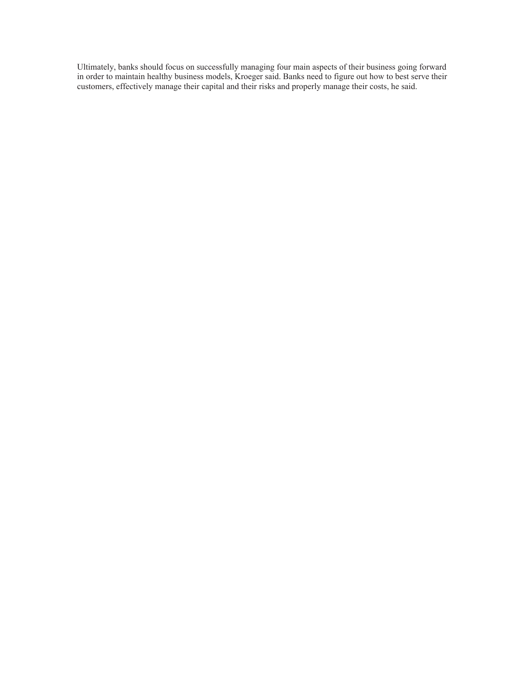Ultimately, banks should focus on successfully managing four main aspects of their business going forward in order to maintain healthy business models, Kroeger said. Banks need to figure out how to best serve their customers, effectively manage their capital and their risks and properly manage their costs, he said.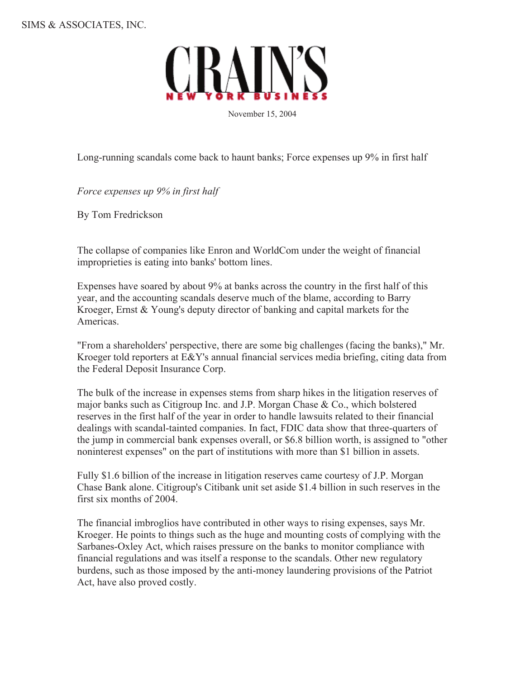#### SIMS & ASSOCIATES, INC.



November 15, 2004

Long-running scandals come back to haunt banks; Force expenses up 9% in first half

*Force expenses up 9% in first half*

By Tom Fredrickson

The collapse of companies like Enron and WorldCom under the weight of financial improprieties is eating into banks' bottom lines.

Expenses have soared by about 9% at banks across the country in the first half of this year, and the accounting scandals deserve much of the blame, according to Barry Kroeger, Ernst & Young's deputy director of banking and capital markets for the Americas.

"From a shareholders' perspective, there are some big challenges (facing the banks)," Mr. Kroeger told reporters at E&Y's annual financial services media briefing, citing data from the Federal Deposit Insurance Corp.

The bulk of the increase in expenses stems from sharp hikes in the litigation reserves of major banks such as Citigroup Inc. and J.P. Morgan Chase & Co., which bolstered reserves in the first half of the year in order to handle lawsuits related to their financial dealings with scandal-tainted companies. In fact, FDIC data show that three-quarters of the jump in commercial bank expenses overall, or \$6.8 billion worth, is assigned to "other noninterest expenses" on the part of institutions with more than \$1 billion in assets.

Fully \$1.6 billion of the increase in litigation reserves came courtesy of J.P. Morgan Chase Bank alone. Citigroup's Citibank unit set aside \$1.4 billion in such reserves in the first six months of 2004.

The financial imbroglios have contributed in other ways to rising expenses, says Mr. Kroeger. He points to things such as the huge and mounting costs of complying with the Sarbanes-Oxley Act, which raises pressure on the banks to monitor compliance with financial regulations and was itself a response to the scandals. Other new regulatory burdens, such as those imposed by the anti-money laundering provisions of the Patriot Act, have also proved costly.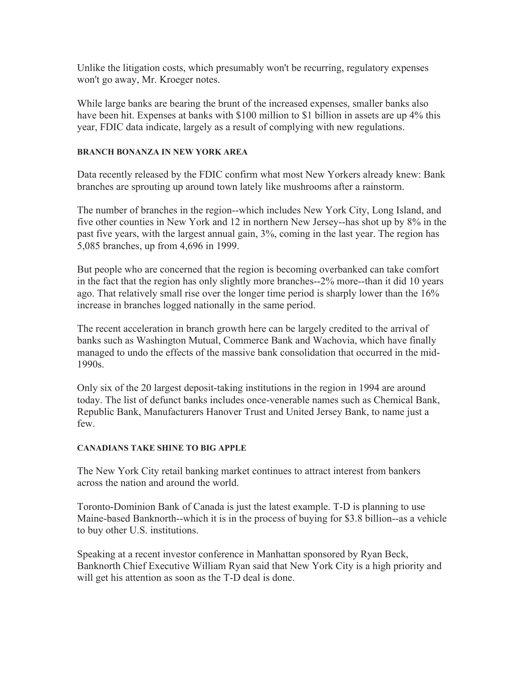Unlike the litigation costs, which presumably won't be recurring, regulatory expenses won't go away, Mr. Kroeger notes.

While large banks are bearing the brunt of the increased expenses, smaller banks also have been hit. Expenses at banks with \$100 million to \$1 billion in assets are up 4% this year, FDIC data indicate, largely as a result of complying with new regulations.

#### **BRANCH BONANZA IN NEW YORK AREA**

Data recently released by the FDIC confirm what most New Yorkers already knew: Bank branches are sprouting up around town lately like mushrooms after a rainstorm.

The number of branches in the region--which includes New York City, Long Island, and five other counties in New York and 12 in northern New Jersey--has shot up by 8% in the past five years, with the largest annual gain, 3%, coming in the last year. The region has 5,085 branches, up from 4,696 in 1999.

But people who are concerned that the region is becoming overbanked can take comfort in the fact that the region has only slightly more branches--2% more--than it did 10 years ago. That relatively small rise over the longer time period is sharply lower than the 16% increase in branches logged nationally in the same period.

The recent acceleration in branch growth here can be largely credited to the arrival of banks such as Washington Mutual, Commerce Bank and Wachovia, which have finally managed to undo the effects of the massive bank consolidation that occurred in the mid-1990s.

Only six of the 20 largest deposit-taking institutions in the region in 1994 are around today. The list of defunct banks includes once-venerable names such as Chemical Bank, Republic Bank, Manufacturers Hanover Trust and United Jersey Bank, to name just a few.

#### **CANADIANS TAKE SHINE TO BIG APPLE**

The New York City retail banking market continues to attract interest from bankers across the nation and around the world.

Toronto-Dominion Bank of Canada is just the latest example. T-D is planning to use Maine-based Banknorth--which it is in the process of buying for \$3.8 billion--as a vehicle to buy other U.S. institutions.

Speaking at a recent investor conference in Manhattan sponsored by Ryan Beck, Banknorth Chief Executive William Ryan said that New York City is a high priority and will get his attention as soon as the T-D deal is done.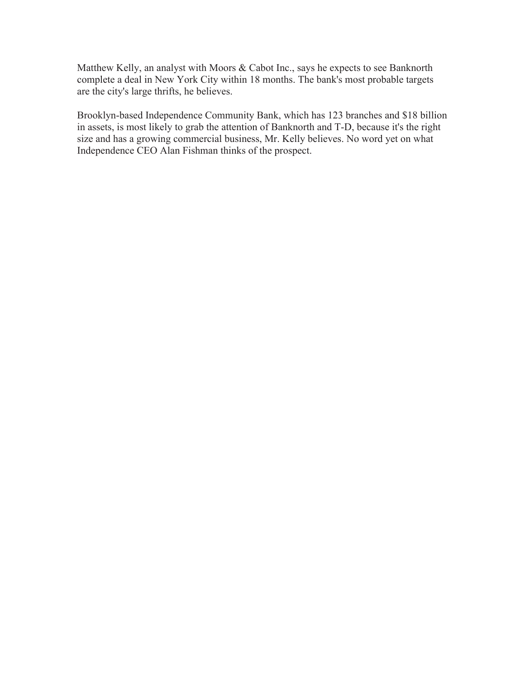Matthew Kelly, an analyst with Moors & Cabot Inc., says he expects to see Banknorth complete a deal in New York City within 18 months. The bank's most probable targets are the city's large thrifts, he believes.

Brooklyn-based Independence Community Bank, which has 123 branches and \$18 billion in assets, is most likely to grab the attention of Banknorth and T-D, because it's the right size and has a growing commercial business, Mr. Kelly believes. No word yet on what Independence CEO Alan Fishman thinks of the prospect.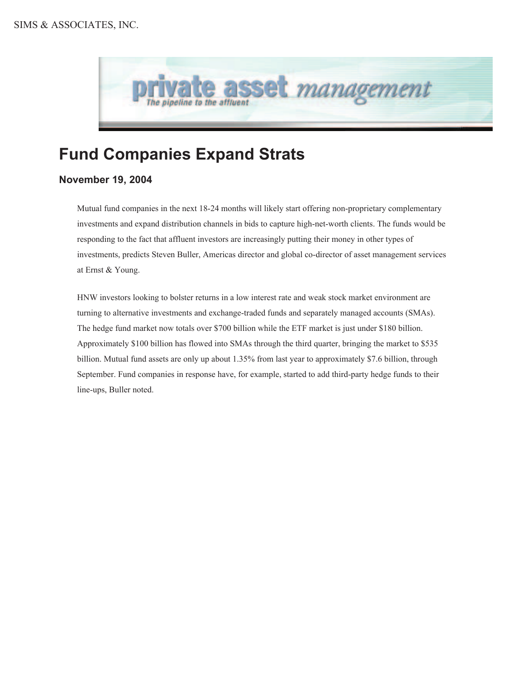#### SIMS & ASSOCIATES, INC.



## **Fund Companies Expand Strats**

#### **November 19, 2004**

Mutual fund companies in the next 18-24 months will likely start offering non-proprietary complementary investments and expand distribution channels in bids to capture high-net-worth clients. The funds would be responding to the fact that affluent investors are increasingly putting their money in other types of investments, predicts Steven Buller, Americas director and global co-director of asset management services at Ernst & Young.

HNW investors looking to bolster returns in a low interest rate and weak stock market environment are turning to alternative investments and exchange-traded funds and separately managed accounts (SMAs). The hedge fund market now totals over \$700 billion while the ETF market is just under \$180 billion. Approximately \$100 billion has flowed into SMAs through the third quarter, bringing the market to \$535 billion. Mutual fund assets are only up about 1.35% from last year to approximately \$7.6 billion, through September. Fund companies in response have, for example, started to add third-party hedge funds to their line-ups, Buller noted.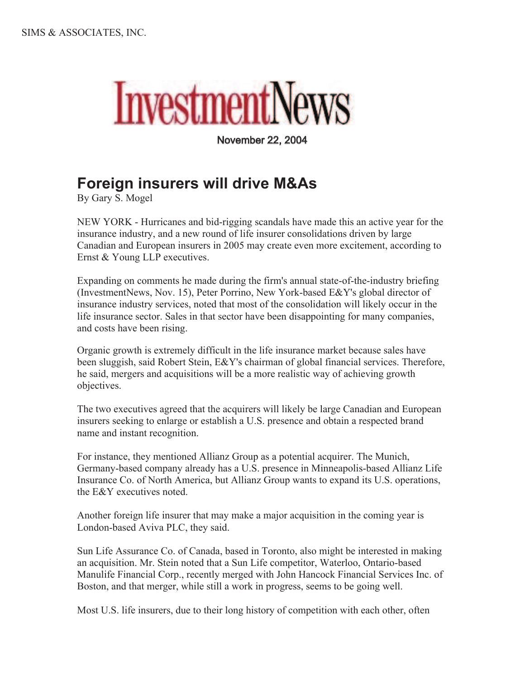# **InvestmentNews**

November 22, 2004

## **Foreign insurers will drive M&As**

By Gary S. Mogel

NEW YORK - Hurricanes and bid-rigging scandals have made this an active year for the insurance industry, and a new round of life insurer consolidations driven by large Canadian and European insurers in 2005 may create even more excitement, according to Ernst & Young LLP executives.

Expanding on comments he made during the firm's annual state-of-the-industry briefing (InvestmentNews, Nov. 15), Peter Porrino, New York-based E&Y's global director of insurance industry services, noted that most of the consolidation will likely occur in the life insurance sector. Sales in that sector have been disappointing for many companies, and costs have been rising.

Organic growth is extremely difficult in the life insurance market because sales have been sluggish, said Robert Stein, E&Y's chairman of global financial services. Therefore, he said, mergers and acquisitions will be a more realistic way of achieving growth objectives.

The two executives agreed that the acquirers will likely be large Canadian and European insurers seeking to enlarge or establish a U.S. presence and obtain a respected brand name and instant recognition.

For instance, they mentioned Allianz Group as a potential acquirer. The Munich, Germany-based company already has a U.S. presence in Minneapolis-based Allianz Life Insurance Co. of North America, but Allianz Group wants to expand its U.S. operations, the E&Y executives noted.

Another foreign life insurer that may make a major acquisition in the coming year is London-based Aviva PLC, they said.

Sun Life Assurance Co. of Canada, based in Toronto, also might be interested in making an acquisition. Mr. Stein noted that a Sun Life competitor, Waterloo, Ontario-based Manulife Financial Corp., recently merged with John Hancock Financial Services Inc. of Boston, and that merger, while still a work in progress, seems to be going well.

Most U.S. life insurers, due to their long history of competition with each other, often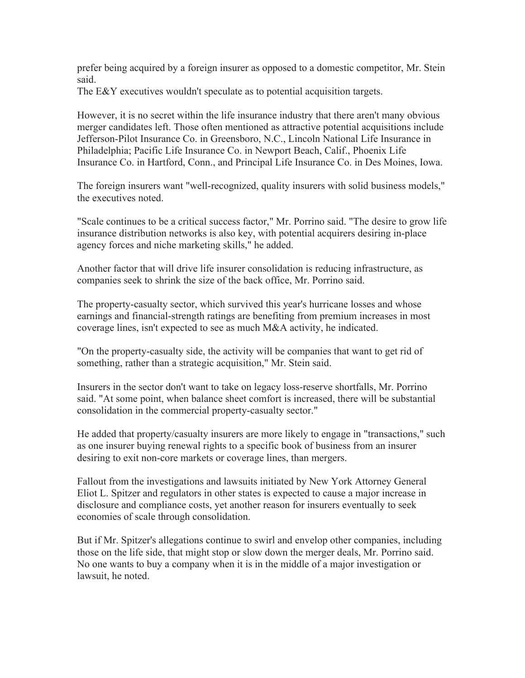prefer being acquired by a foreign insurer as opposed to a domestic competitor, Mr. Stein said.

The E&Y executives wouldn't speculate as to potential acquisition targets.

However, it is no secret within the life insurance industry that there aren't many obvious merger candidates left. Those often mentioned as attractive potential acquisitions include Jefferson-Pilot Insurance Co. in Greensboro, N.C., Lincoln National Life Insurance in Philadelphia; Pacific Life Insurance Co. in Newport Beach, Calif., Phoenix Life Insurance Co. in Hartford, Conn., and Principal Life Insurance Co. in Des Moines, Iowa.

The foreign insurers want "well-recognized, quality insurers with solid business models," the executives noted.

"Scale continues to be a critical success factor," Mr. Porrino said. "The desire to grow life insurance distribution networks is also key, with potential acquirers desiring in-place agency forces and niche marketing skills," he added.

Another factor that will drive life insurer consolidation is reducing infrastructure, as companies seek to shrink the size of the back office, Mr. Porrino said.

The property-casualty sector, which survived this year's hurricane losses and whose earnings and financial-strength ratings are benefiting from premium increases in most coverage lines, isn't expected to see as much M&A activity, he indicated.

"On the property-casualty side, the activity will be companies that want to get rid of something, rather than a strategic acquisition," Mr. Stein said.

Insurers in the sector don't want to take on legacy loss-reserve shortfalls, Mr. Porrino said. "At some point, when balance sheet comfort is increased, there will be substantial consolidation in the commercial property-casualty sector."

He added that property/casualty insurers are more likely to engage in "transactions," such as one insurer buying renewal rights to a specific book of business from an insurer desiring to exit non-core markets or coverage lines, than mergers.

Fallout from the investigations and lawsuits initiated by New York Attorney General Eliot L. Spitzer and regulators in other states is expected to cause a major increase in disclosure and compliance costs, yet another reason for insurers eventually to seek economies of scale through consolidation.

But if Mr. Spitzer's allegations continue to swirl and envelop other companies, including those on the life side, that might stop or slow down the merger deals, Mr. Porrino said. No one wants to buy a company when it is in the middle of a major investigation or lawsuit, he noted.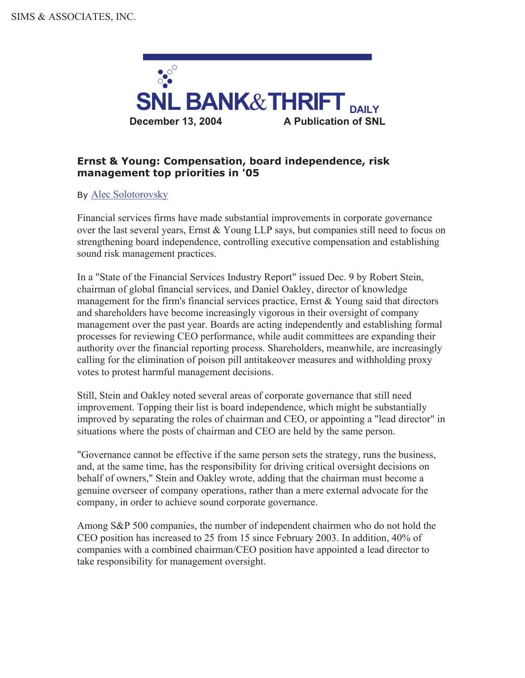

#### **Ernst & Young: Compensation, board independence, risk management top priorities in '05**

#### By Alec Solotorovsky

Financial services firms have made substantial improvements in corporate governance over the last several years, Ernst & Young LLP says, but companies still need to focus on strengthening board independence, controlling executive compensation and establishing sound risk management practices.

In a "State of the Financial Services Industry Report" issued Dec. 9 by Robert Stein, chairman of global financial services, and Daniel Oakley, director of knowledge management for the firm's financial services practice, Ernst & Young said that directors and shareholders have become increasingly vigorous in their oversight of company management over the past year. Boards are acting independently and establishing formal processes for reviewing CEO performance, while audit committees are expanding their authority over the financial reporting process. Shareholders, meanwhile, are increasingly calling for the elimination of poison pill antitakeover measures and withholding proxy votes to protest harmful management decisions.

Still, Stein and Oakley noted several areas of corporate governance that still need improvement. Topping their list is board independence, which might be substantially improved by separating the roles of chairman and CEO, or appointing a "lead director" in situations where the posts of chairman and CEO are held by the same person.

"Governance cannot be effective if the same person sets the strategy, runs the business, and, at the same time, has the responsibility for driving critical oversight decisions on behalf of owners," Stein and Oakley wrote, adding that the chairman must become a genuine overseer of company operations, rather than a mere external advocate for the company, in order to achieve sound corporate governance.

Among S&P 500 companies, the number of independent chairmen who do not hold the CEO position has increased to 25 from 15 since February 2003. In addition, 40% of companies with a combined chairman/CEO position have appointed a lead director to take responsibility for management oversight.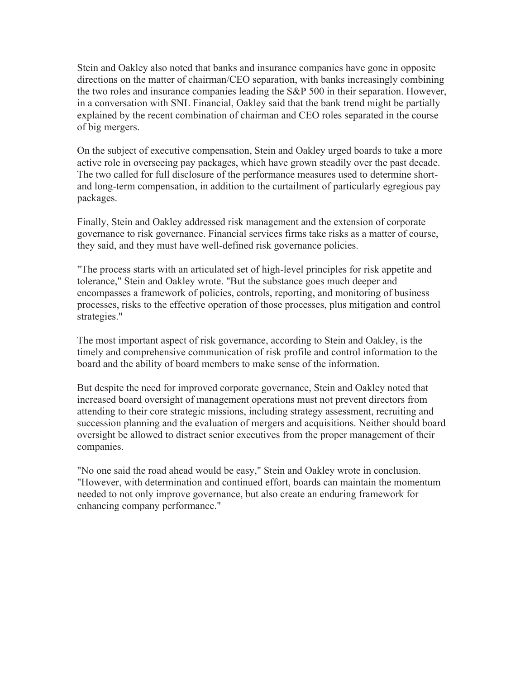Stein and Oakley also noted that banks and insurance companies have gone in opposite directions on the matter of chairman/CEO separation, with banks increasingly combining the two roles and insurance companies leading the S&P 500 in their separation. However, in a conversation with SNL Financial, Oakley said that the bank trend might be partially explained by the recent combination of chairman and CEO roles separated in the course of big mergers.

On the subject of executive compensation, Stein and Oakley urged boards to take a more active role in overseeing pay packages, which have grown steadily over the past decade. The two called for full disclosure of the performance measures used to determine shortand long-term compensation, in addition to the curtailment of particularly egregious pay packages.

Finally, Stein and Oakley addressed risk management and the extension of corporate governance to risk governance. Financial services firms take risks as a matter of course, they said, and they must have well-defined risk governance policies.

"The process starts with an articulated set of high-level principles for risk appetite and tolerance," Stein and Oakley wrote. "But the substance goes much deeper and encompasses a framework of policies, controls, reporting, and monitoring of business processes, risks to the effective operation of those processes, plus mitigation and control strategies."

The most important aspect of risk governance, according to Stein and Oakley, is the timely and comprehensive communication of risk profile and control information to the board and the ability of board members to make sense of the information.

But despite the need for improved corporate governance, Stein and Oakley noted that increased board oversight of management operations must not prevent directors from attending to their core strategic missions, including strategy assessment, recruiting and succession planning and the evaluation of mergers and acquisitions. Neither should board oversight be allowed to distract senior executives from the proper management of their companies.

"No one said the road ahead would be easy," Stein and Oakley wrote in conclusion. "However, with determination and continued effort, boards can maintain the momentum needed to not only improve governance, but also create an enduring framework for enhancing company performance."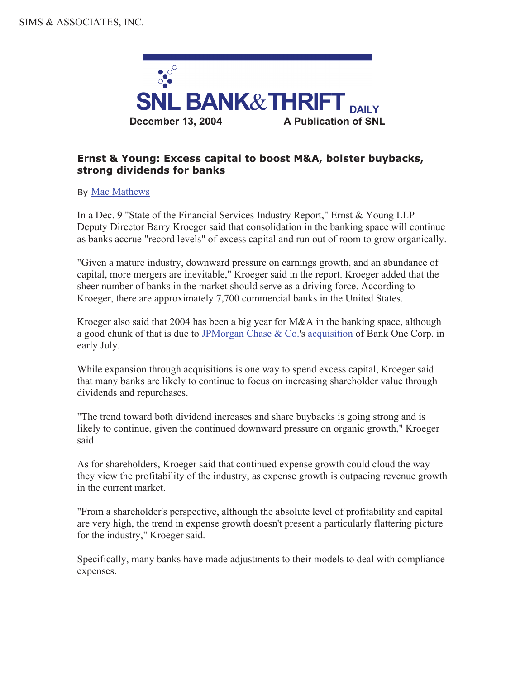

#### **Ernst & Young: Excess capital to boost M&A, bolster buybacks, strong dividends for banks**

#### By Mac Mathews

In a Dec. 9 "State of the Financial Services Industry Report," Ernst & Young LLP Deputy Director Barry Kroeger said that consolidation in the banking space will continue as banks accrue "record levels" of excess capital and run out of room to grow organically.

"Given a mature industry, downward pressure on earnings growth, and an abundance of capital, more mergers are inevitable," Kroeger said in the report. Kroeger added that the sheer number of banks in the market should serve as a driving force. According to Kroeger, there are approximately 7,700 commercial banks in the United States.

Kroeger also said that 2004 has been a big year for M&A in the banking space, although a good chunk of that is due to JPMorgan Chase & Co.'s acquisition of Bank One Corp. in early July.

While expansion through acquisitions is one way to spend excess capital, Kroeger said that many banks are likely to continue to focus on increasing shareholder value through dividends and repurchases.

"The trend toward both dividend increases and share buybacks is going strong and is likely to continue, given the continued downward pressure on organic growth," Kroeger said.

As for shareholders, Kroeger said that continued expense growth could cloud the way they view the profitability of the industry, as expense growth is outpacing revenue growth in the current market.

"From a shareholder's perspective, although the absolute level of profitability and capital are very high, the trend in expense growth doesn't present a particularly flattering picture for the industry," Kroeger said.

Specifically, many banks have made adjustments to their models to deal with compliance expenses.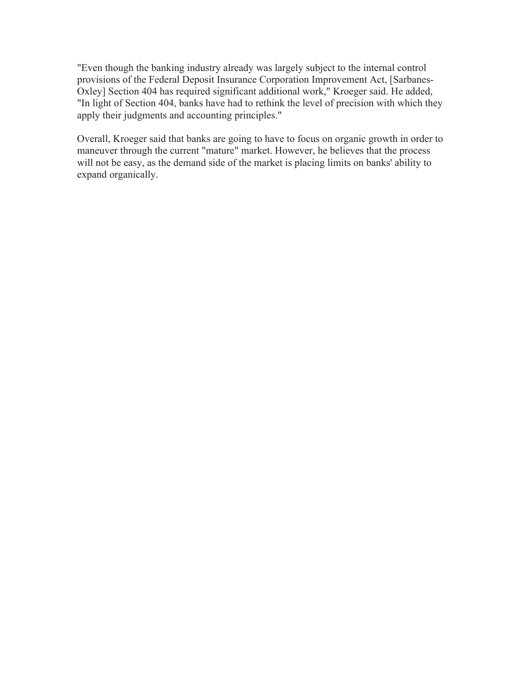"Even though the banking industry already was largely subject to the internal control provisions of the Federal Deposit Insurance Corporation Improvement Act, [Sarbanes-Oxley] Section 404 has required significant additional work," Kroeger said. He added, "In light of Section 404, banks have had to rethink the level of precision with which they apply their judgments and accounting principles."

Overall, Kroeger said that banks are going to have to focus on organic growth in order to maneuver through the current "mature" market. However, he believes that the process will not be easy, as the demand side of the market is placing limits on banks' ability to expand organically.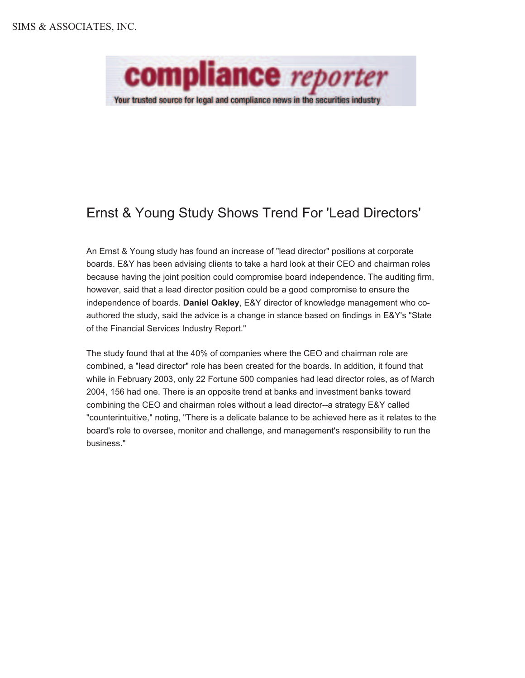

## Ernst & Young Study Shows Trend For 'Lead Directors'

An Ernst & Young study has found an increase of "lead director" positions at corporate boards. E&Y has been advising clients to take a hard look at their CEO and chairman roles because having the joint position could compromise board independence. The auditing firm, however, said that a lead director position could be a good compromise to ensure the independence of boards. **Daniel Oakley**, E&Y director of knowledge management who coauthored the study, said the advice is a change in stance based on findings in E&Y's "State of the Financial Services Industry Report."

The study found that at the 40% of companies where the CEO and chairman role are combined, a "lead director" role has been created for the boards. In addition, it found that while in February 2003, only 22 Fortune 500 companies had lead director roles, as of March 2004, 156 had one. There is an opposite trend at banks and investment banks toward combining the CEO and chairman roles without a lead director--a strategy E&Y called "counterintuitive," noting, "There is a delicate balance to be achieved here as it relates to the board's role to oversee, monitor and challenge, and management's responsibility to run the business."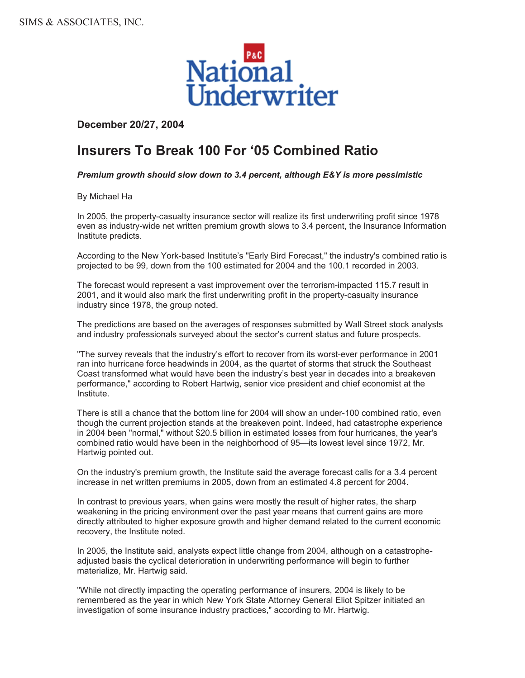

**December 20/27, 2004**

## **Insurers To Break 100 For '05 Combined Ratio**

*Premium growth should slow down to 3.4 percent, although E&Y is more pessimistic*

By Michael Ha

In 2005, the property-casualty insurance sector will realize its first underwriting profit since 1978 even as industry-wide net written premium growth slows to 3.4 percent, the Insurance Information Institute predicts.

According to the New York-based Institute's "Early Bird Forecast," the industry's combined ratio is projected to be 99, down from the 100 estimated for 2004 and the 100.1 recorded in 2003.

The forecast would represent a vast improvement over the terrorism-impacted 115.7 result in 2001, and it would also mark the first underwriting profit in the property-casualty insurance industry since 1978, the group noted.

The predictions are based on the averages of responses submitted by Wall Street stock analysts and industry professionals surveyed about the sector's current status and future prospects.

"The survey reveals that the industry's effort to recover from its worst-ever performance in 2001 ran into hurricane force headwinds in 2004, as the quartet of storms that struck the Southeast Coast transformed what would have been the industry's best year in decades into a breakeven performance," according to Robert Hartwig, senior vice president and chief economist at the Institute.

There is still a chance that the bottom line for 2004 will show an under-100 combined ratio, even though the current projection stands at the breakeven point. Indeed, had catastrophe experience in 2004 been "normal," without \$20.5 billion in estimated losses from four hurricanes, the year's combined ratio would have been in the neighborhood of 95—its lowest level since 1972, Mr. Hartwig pointed out.

On the industry's premium growth, the Institute said the average forecast calls for a 3.4 percent increase in net written premiums in 2005, down from an estimated 4.8 percent for 2004.

In contrast to previous years, when gains were mostly the result of higher rates, the sharp weakening in the pricing environment over the past year means that current gains are more directly attributed to higher exposure growth and higher demand related to the current economic recovery, the Institute noted.

In 2005, the Institute said, analysts expect little change from 2004, although on a catastropheadjusted basis the cyclical deterioration in underwriting performance will begin to further materialize, Mr. Hartwig said.

"While not directly impacting the operating performance of insurers, 2004 is likely to be remembered as the year in which New York State Attorney General Eliot Spitzer initiated an investigation of some insurance industry practices," according to Mr. Hartwig.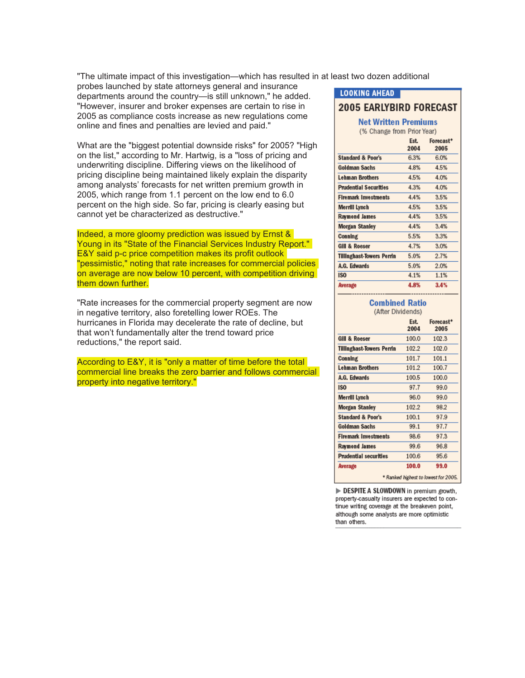"The ultimate impact of this investigation—which has resulted in at least two dozen additional

probes launched by state attorneys general and insurance departments around the country—is still unknown," he added. "However, insurer and broker expenses are certain to rise in 2005 as compliance costs increase as new regulations come online and fines and penalties are levied and paid."

What are the "biggest potential downside risks" for 2005? "High on the list," according to Mr. Hartwig, is a "loss of pricing and underwriting discipline. Differing views on the likelihood of pricing discipline being maintained likely explain the disparity among analysts' forecasts for net written premium growth in 2005, which range from 1.1 percent on the low end to 6.0 percent on the high side. So far, pricing is clearly easing but cannot yet be characterized as destructive."

Indeed, a more gloomy prediction was issued by Ernst & Young in its "State of the Financial Services Industry Report." E&Y said p-c price competition makes its profit outlook "pessimistic," noting that rate increases for commercial policies on average are now below 10 percent, with competition driving them down further.

"Rate increases for the commercial property segment are now in negative territory, also foretelling lower ROEs. The hurricanes in Florida may decelerate the rate of decline, but that won't fundamentally alter the trend toward price reductions," the report said.

According to E&Y, it is "only a matter of time before the total commercial line breaks the zero barrier and follows commercial property into negative territory."

#### **LOOKING AHEAD**

#### **2005 EARLYBIRD FORECAST**

#### **Net Written Premiums**

(% Change from Prior Year)

|                                  | Est.<br>2004 | Forecast*<br>2005 |
|----------------------------------|--------------|-------------------|
| <b>Standard &amp; Poor's</b>     | 6.3%         | 6.0%              |
| <b>Goldman Sachs</b>             | 4.8%         | 4.5%              |
| <b>Lehman Brothers</b>           | 4.5%         | 4.0%              |
| <b>Prudential Securities</b>     | 4.3%         | 4.0%              |
| <b>Firemark Investments</b>      | 4.4%         | 3.5%              |
| Merrill Lynch                    | 4.5%         | 3.5%              |
| <b>Raymond James</b>             | 4.4%         | 3.5%              |
| <b>Morgan Stanley</b>            | 4.4%         | 3.4%              |
| Conning                          | 5.5%         | 3.3%              |
| <b>Gill &amp; Roeser</b>         | 4.7%         | 3.0%              |
| <b>Tillinghast-Towers Perrin</b> | 5.0%         | 2.7%              |
| A.G. Edwards                     | 5.0%         | 2.0%              |
| IS <sub>0</sub>                  | 4.1%         | 1.1%              |
| Average                          | 4.8%         | 3.4%              |

#### **Combined Ratio** (After Dividends)

|                                  | Est.<br>2004                         | Forecast*<br>2005 |  |
|----------------------------------|--------------------------------------|-------------------|--|
| <b>Gill &amp; Roeser</b>         | 100.0                                | 102.3             |  |
| <b>Tillinghast-Towers Perrin</b> | 102.2                                | 102.0             |  |
| Conning                          | 101.7                                | 101.1             |  |
| <b>Lehman Brothers</b>           | 101.2                                | 100.7             |  |
| A.G. Edwards                     | 100.5                                | 100.0             |  |
| ISO                              | 97.7                                 | 99.0              |  |
| Merrill Lynch                    | 96.0                                 | 99.0              |  |
| <b>Morgan Stanley</b>            | 102.2                                | 98.2              |  |
| <b>Standard &amp; Poor's</b>     | 100.1                                | 97.9              |  |
| <b>Goldman Sachs</b>             | 99.1                                 | 97.7              |  |
| <b>Firemark Investments</b>      | 98.6                                 | 97.3              |  |
| Raymond James                    | 99.6                                 | 96.8              |  |
| <b>Prudential securities</b>     | 100.6                                | 95.6              |  |
| Average                          | 100.0                                | 99.0              |  |
|                                  | * Ranked highest to lowest for 2005. |                   |  |

> DESPITE A SLOWDOWN in premium growth, property-casualty insurers are expected to continue writing coverage at the breakeven point, although some analysts are more optimistic than others.